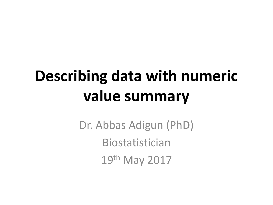# **Describing data with numeric value summary**

Dr. Abbas Adigun (PhD) Biostatistician 19th May 2017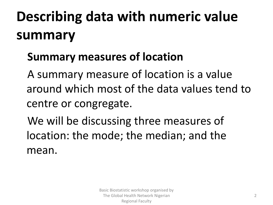# **Describing data with numeric value summary**

## **Summary measures of location**

A summary measure of location is a value around which most of the data values tend to centre or congregate.

We will be discussing three measures of location: the mode; the median; and the mean.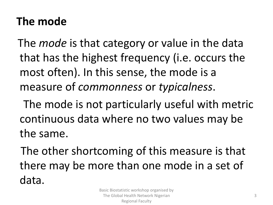# **The mode**

The *mode* is that category or value in the data that has the highest frequency (i.e. occurs the most often). In this sense, the mode is a measure of *commonness* or *typicalness*.

The mode is not particularly useful with metric continuous data where no two values may be the same.

The other shortcoming of this measure is that there may be more than one mode in a set of data.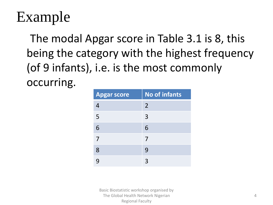# Example

The modal Apgar score in Table 3.1 is 8, this being the category with the highest frequency (of 9 infants), i.e. is the most commonly occurring.

| <b>Apgar score</b> | <b>No of infants</b> |
|--------------------|----------------------|
| 4                  | $\overline{2}$       |
| 5                  | $\overline{3}$       |
| 6                  | 6                    |
| 7                  | 7                    |
| 8                  | 9                    |
|                    |                      |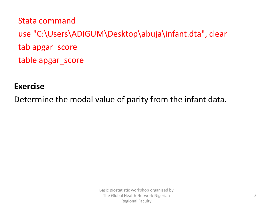Stata command use "C:\Users\ADIGUM\Desktop\abuja\infant.dta", clear tab apgar\_score table apgar\_score

#### **Exercise**

Determine the modal value of parity from the infant data.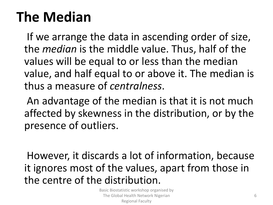# **The Median**

If we arrange the data in ascending order of size, the *median* is the middle value. Thus, half of the values will be equal to or less than the median value, and half equal to or above it. The median is thus a measure of *centralness*.

An advantage of the median is that it is not much affected by skewness in the distribution, or by the presence of outliers.

However, it discards a lot of information, because it ignores most of the values, apart from those in the centre of the distribution.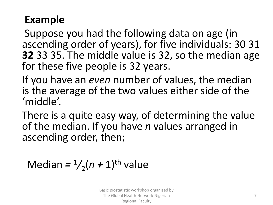## **Example**

Suppose you had the following data on age (in ascending order of years), for five individuals: 30 31 **32** 33 35. The middle value is 32, so the median age for these five people is 32 years.

If you have an *even* number of values, the median is the average of the two values either side of the 'middle'.

There is a quite easy way, of determining the value of the median. If you have *n* values arranged in ascending order, then;

```
Median = \frac{1}{2}(n + 1)<sup>th</sup> value
```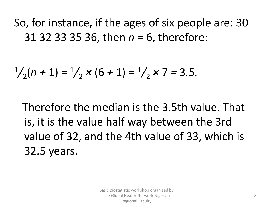So, for instance, if the ages of six people are: 30 31 32 33 35 36, then *n =* 6, therefore:

$$
\frac{1}{2}(n+1) = \frac{1}{2} \times (6+1) = \frac{1}{2} \times 7 = 3.5.
$$

Therefore the median is the 3.5th value. That is, it is the value half way between the 3rd value of 32, and the 4th value of 33, which is 32.5 years.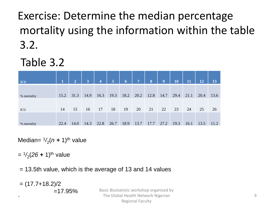Exercise: Determine the median percentage mortality using the information within the table 3.2.

Table 3.2

| ICU         | 1    | $\overline{2}$ | $\overline{3}$ | $\overline{4}$ | 5 <sup>5</sup> | $\sqrt{6}$ | 7 <sup>1</sup> | 8    | 9    | 10   | 11   | 12   | 13   |
|-------------|------|----------------|----------------|----------------|----------------|------------|----------------|------|------|------|------|------|------|
| % mortality | 15.2 | 31.3           | 14.9           | 16.3           | 19.3           | 18.2       | 20.2           | 12.8 | 14.7 | 29.4 | 21.1 | 20.4 | 13.6 |
| ICU         | 14   | 15             | 16             | 17             | 18             | 19         | 20             | 21   | 22   | 23   | 24   | 25   | 26   |
| % mortality | 22.4 | 14.0           | 14.3           | 22.8           | 26.7           | 18.9       | 13.7           | 17.7 | 27.2 | 19.3 | 16.1 | 13.5 | 11.2 |

Median= $\frac{1}{2}(n + 1)$ <sup>th</sup> value

= <sup>1</sup>/<sub>2</sub>(26 + 1)<sup>th</sup> value

= 13.5th value, which is the average of 13 and 14 values

 $= (17.7 + 18.2)/2$  $=17.95%$ `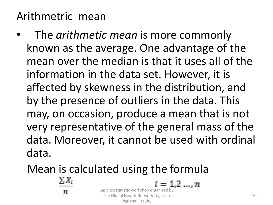# Arithmetric mean

• The *arithmetic mean* is more commonly known as the average. One advantage of the mean over the median is that it uses all of the information in the data set. However, it is affected by skewness in the distribution, and by the presence of outliers in the data. This may, on occasion, produce a mean that is not very representative of the general mass of the data. Moreover, it cannot be used with ordinal data.

> The Global Health Network Nigerian Regional Faculty

Mean is calculated using the formula

 $\Sigma X_i$ 

 $i = 1, 2, ..., n$ Basic Biostatistic workshop organised by

10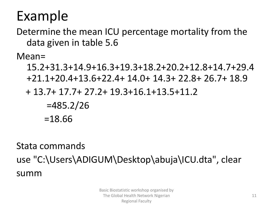# Example

Determine the mean ICU percentage mortality from the data given in table 5.6

Mean=

15.2+31.3+14.9+16.3+19.3+18.2+20.2+12.8+14.7+29.4 +21.1+20.4+13.6+22.4+ 14.0+ 14.3+ 22.8+ 26.7+ 18.9

+ 13.7+ 17.7+ 27.2+ 19.3+16.1+13.5+11.2

 $=485.2/26$ =18.66

Stata commands use "C:\Users\ADIGUM\Desktop\abuja\ICU.dta", clear summ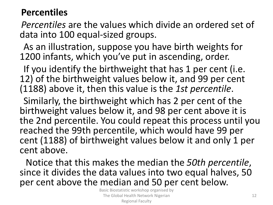#### **Percentiles**

*Percentiles* are the values which divide an ordered set of data into 100 equal-sized groups.

As an illustration, suppose you have birth weights for 1200 infants, which you've put in ascending, order.

If you identify the birthweight that has 1 per cent (i.e. 12) of the birthweight values below it, and 99 per cent (1188) above it, then this value is the *1st percentile*.

Similarly, the birthweight which has 2 per cent of the birthweight values below it, and 98 per cent above it is the 2nd percentile. You could repeat this process until you reached the 99th percentile, which would have 99 per cent (1188) of birthweight values below it and only 1 per cent above.

Notice that this makes the median the *50th percentile*, since it divides the data values into two equal halves, 50 per cent above the median and 50 per cent below.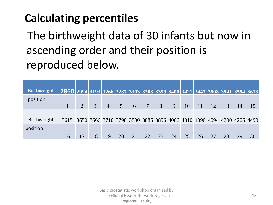# **Calculating percentiles**

The birthweight data of 30 infants but now in ascending order and their position is reproduced below.

| <b>Birthweight</b> |                                                                               |                |    |                |               |   |                |    |    |    |               |    |    |    |    |
|--------------------|-------------------------------------------------------------------------------|----------------|----|----------------|---------------|---|----------------|----|----|----|---------------|----|----|----|----|
|                    | $ 2860 2994 3193 3266 3287 3303 3388 3399 3400 3421 3447 3508 3541 3594 3613$ |                |    |                |               |   |                |    |    |    |               |    |    |    |    |
| position           |                                                                               |                |    |                |               |   |                |    |    |    |               |    |    |    |    |
|                    |                                                                               | $\overline{2}$ | 3  | $\overline{4}$ | $\mathcal{F}$ | 6 | $\overline{7}$ | 8  | 9  | 10 | <sup>11</sup> | 12 | 13 | 14 |    |
|                    |                                                                               |                |    |                |               |   |                |    |    |    |               |    |    |    |    |
| Birthweight        | 3615 3650 3666 3710 3798 3800 3886 3896 4006 4010 4090 4094 4200 4206 4490    |                |    |                |               |   |                |    |    |    |               |    |    |    |    |
| position           |                                                                               |                |    |                |               |   |                |    |    |    |               |    |    |    |    |
|                    | 16                                                                            | 17             | 18 | 19             | 20            |   | 22             | 23 | 24 | 25 | 26            | 27 | 28 | 29 | 30 |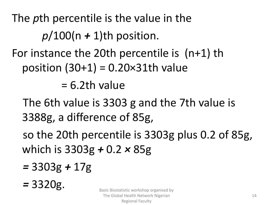The *p*th percentile is the value in the *p*/100(n *+* 1)th position. For instance the 20th percentile is (n+1) th position  $(30+1) = 0.20 \times 31$ th value

 $= 6.2$ th value

The 6th value is 3303 g and the 7th value is 3388g, a difference of 85g,

so the 20th percentile is 3303g plus 0.2 of 85g, which is 3303g *+* 0.2 *×* 85g

- *=* 3303g *+* 17g
- *=* 3320g.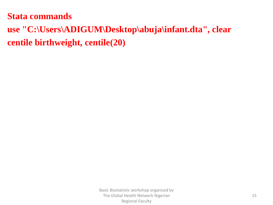#### **Stata commands**

### **use "C:\Users\ADIGUM\Desktop\abuja\infant.dta", clear centile birthweight, centile(20)**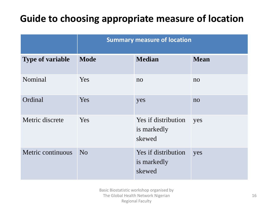### **Guide to choosing appropriate measure of location**

|                         | <b>Summary measure of location</b> |                                              |                |  |  |  |  |  |
|-------------------------|------------------------------------|----------------------------------------------|----------------|--|--|--|--|--|
| <b>Type of variable</b> | <b>Mode</b>                        | <b>Median</b>                                | <b>Mean</b>    |  |  |  |  |  |
| Nominal                 | Yes                                | n <sub>o</sub>                               | no             |  |  |  |  |  |
| Ordinal                 | Yes                                | yes                                          | n <sub>o</sub> |  |  |  |  |  |
| Metric discrete         | Yes                                | Yes if distribution<br>is markedly<br>skewed | yes            |  |  |  |  |  |
| Metric continuous       | N <sub>0</sub>                     | Yes if distribution<br>is markedly<br>skewed | yes            |  |  |  |  |  |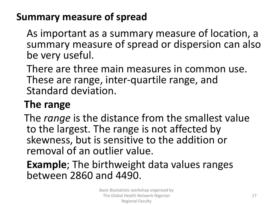### **Summary measure of spread**

As important as a summary measure of location, a summary measure of spread or dispersion can also be very useful.

There are three main measures in common use. These are range, inter-quartile range, and Standard deviation.

# **The range**

The *range* is the distance from the smallest value to the largest. The range is not affected by skewness, but is sensitive to the addition or removal of an outlier value.

### **Example**; The birthweight data values ranges between 2860 and 4490.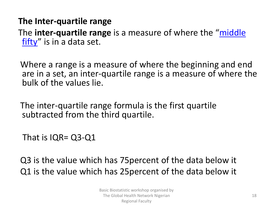#### **The Inter-quartile range**

The **inter-quartile range** [is a measure of where the "](http://www.statisticshowto.com/middle-fifty/)middle fifty" is in a data set.

Where a range is a measure of where the beginning and end are in a set, an inter-quartile range is a measure of where the bulk of the values lie.

The inter-quartile range formula is the first quartile subtracted from the third quartile.

That is IQR= Q3-Q1

Q3 is the value which has 75percent of the data below it Q1 is the value which has 25percent of the data below it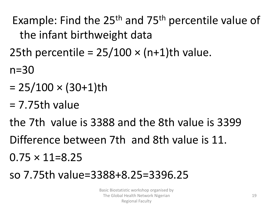Example: Find the 25th and 75th percentile value of the infant birthweight data 25th percentile =  $25/100 \times (n+1)$ th value.

n=30

- $= 25/100 \times (30+1)$ th
- $= 7.75$ th value

the 7th value is 3388 and the 8th value is 3399 Difference between 7th and 8th value is 11.  $0.75 \times 11 = 8.25$ so 7.75th value=3388+8.25=3396.25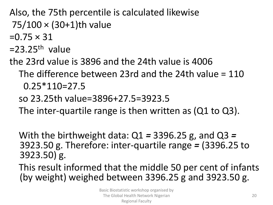Also, the 75th percentile is calculated likewise 75/100 × (30+1)th value

 $=0.75 \times 31$ 

 $=$  23.25<sup>th</sup> value

the 23rd value is 3896 and the 24th value is 4006

The difference between 23rd and the 24th value = 110 0.25\*110=27.5

so 23.25th value=3896+27.5=3923.5

The inter-quartile range is then written as (Q1 to Q3).

With the birthweight data: Q1 *=* 3396.25 g, and Q3 *=* 3923.50 g. Therefore: inter-quartile range *=* (3396.25 to 3923.50) g.

This result informed that the middle 50 per cent of infants (by weight) weighed between 3396.25 g and 3923.50 g.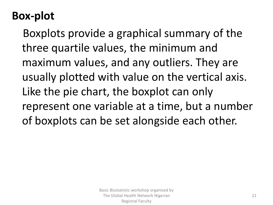# **Box-plot**

Boxplots provide a graphical summary of the three quartile values, the minimum and maximum values, and any outliers. They are usually plotted with value on the vertical axis. Like the pie chart, the boxplot can only represent one variable at a time, but a number of boxplots can be set alongside each other.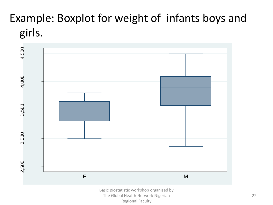# Example: Boxplot for weight of infants boys and girls.

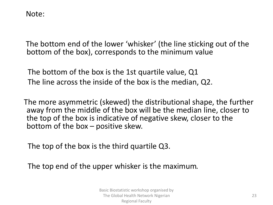Note:

The bottom end of the lower 'whisker' (the line sticking out of the bottom of the box), corresponds to the minimum value

The bottom of the box is the 1st quartile value, Q1 The line across the inside of the box is the median, Q2.

The more asymmetric (skewed) the distributional shape, the further away from the middle of the box will be the median line, closer to the top of the box is indicative of negative skew, closer to the bottom of the box – positive skew.

The top of the box is the third quartile Q3.

The top end of the upper whisker is the maximum*.*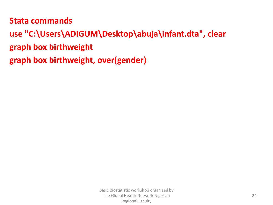#### **Stata commands**

**use "C:\Users\ADIGUM\Desktop\abuja\infant.dta", clear graph box birthweight graph box birthweight, over(gender)**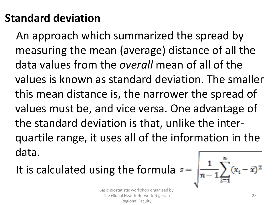# **Standard deviation**

An approach which summarized the spread by measuring the mean (average) distance of all the data values from the *overall* mean of all of the values is known as standard deviation. The smaller this mean distance is, the narrower the spread of values must be, and vice versa. One advantage of the standard deviation is that, unlike the interquartile range, it uses all of the information in the data.

It is calculated using the formula  $s =$ 

$$
\sqrt{\frac{1}{n-1}\sum_{i=1}^n(x_i-\bar{x})^2}
$$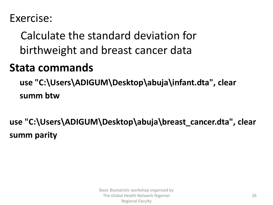### Exercise:

Calculate the standard deviation for birthweight and breast cancer data

## **Stata commands**

**use "C:\Users\ADIGUM\Desktop\abuja\infant.dta", clear summ btw**

**use "C:\Users\ADIGUM\Desktop\abuja\breast\_cancer.dta", clear summ parity**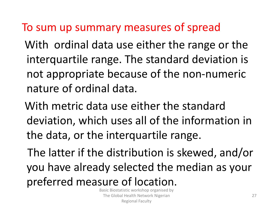## To sum up summary measures of spread

With ordinal data use either the range or the interquartile range. The standard deviation is not appropriate because of the non-numeric nature of ordinal data.

With metric data use either the standard deviation, which uses all of the information in the data, or the interquartile range.

The latter if the distribution is skewed, and/or you have already selected the median as your preferred measure of location.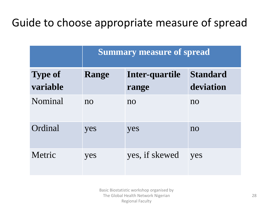# Guide to choose appropriate measure of spread

|                            | <b>Summary measure of spread</b> |                         |                              |  |  |  |  |  |
|----------------------------|----------------------------------|-------------------------|------------------------------|--|--|--|--|--|
| <b>Type of</b><br>variable | Range                            | Inter-quartile<br>range | <b>Standard</b><br>deviation |  |  |  |  |  |
| Nominal                    | n <sub>O</sub>                   | $\overline{no}$         | $\overline{no}$              |  |  |  |  |  |
| Ordinal                    | yes                              | yes                     | $\overline{no}$              |  |  |  |  |  |
| Metric                     | yes                              | yes, if skewed          | yes                          |  |  |  |  |  |